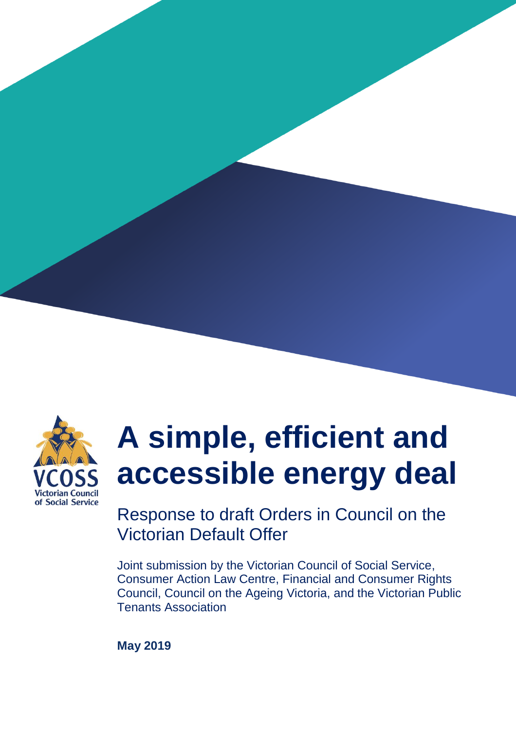

# **A simple, efficient and accessible energy deal**

Response to draft Orders in Council on the Victorian Default Offer

Joint submission by the Victorian Council of Social Service, Consumer Action Law Centre, Financial and Consumer Rights Council, Council on the Ageing Victoria, and the Victorian Public Tenants Association

**May 2019**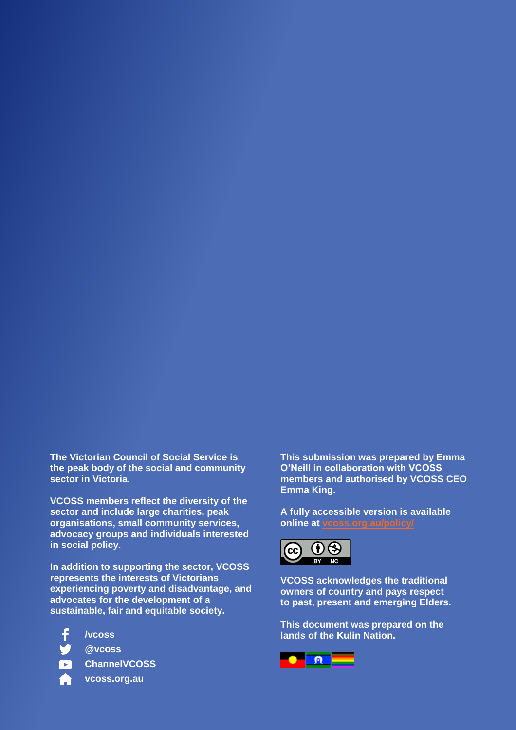**The Victorian Council of Social Service is the peak body of the social and community sector in Victoria.** 

**VCOSS members reflect the diversity of the sector and include large charities, peak organisations, small community services, advocacy groups and individuals interested in social policy.** 

**In addition to supporting the sector, VCOSS represents the interests of Victorians experiencing poverty and disadvantage, and advocates for the development of a sustainable, fair and equitable society.**

**/vcoss**

**@vcoss**

- 
- **vcoss.org.au**

**This submission was prepared by Emma O'Neill in collaboration with VCOSS members and authorised by VCOSS CEO Emma King.**

**A fully accessible version is available online at [vcoss.org.au/policy/](https://vcoss.org.au/category/policy/)**



**VCOSS acknowledges the traditional owners of country and pays respect to past, present and emerging Elders.**

**This document was prepared on the lands of the Kulin Nation.**

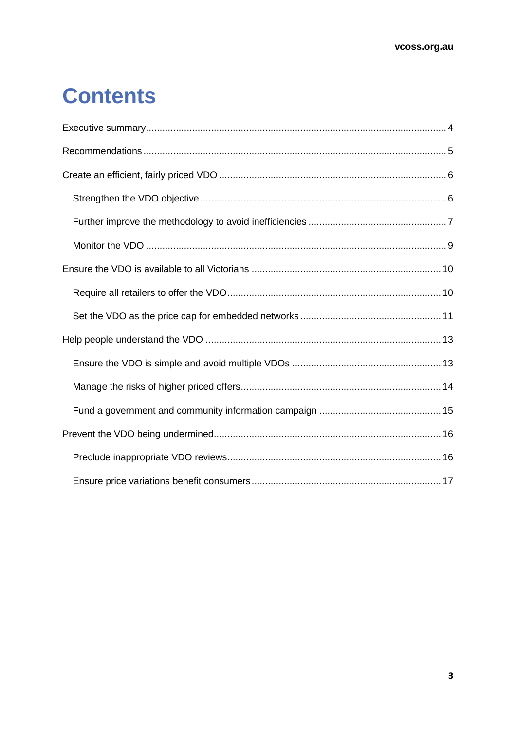## **Contents**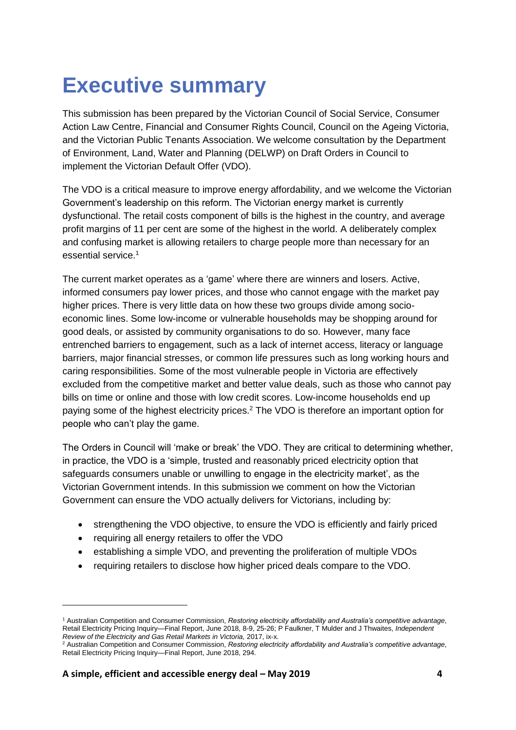## <span id="page-3-0"></span>**Executive summary**

This submission has been prepared by the Victorian Council of Social Service, Consumer Action Law Centre, Financial and Consumer Rights Council, Council on the Ageing Victoria, and the Victorian Public Tenants Association. We welcome consultation by the Department of Environment, Land, Water and Planning (DELWP) on Draft Orders in Council to implement the Victorian Default Offer (VDO).

The VDO is a critical measure to improve energy affordability, and we welcome the Victorian Government's leadership on this reform. The Victorian energy market is currently dysfunctional. The retail costs component of bills is the highest in the country, and average profit margins of 11 per cent are some of the highest in the world. A deliberately complex and confusing market is allowing retailers to charge people more than necessary for an essential service.<sup>1</sup>

The current market operates as a 'game' where there are winners and losers. Active, informed consumers pay lower prices, and those who cannot engage with the market pay higher prices. There is very little data on how these two groups divide among socioeconomic lines. Some low-income or vulnerable households may be shopping around for good deals, or assisted by community organisations to do so. However, many face entrenched barriers to engagement, such as a lack of internet access, literacy or language barriers, major financial stresses, or common life pressures such as long working hours and caring responsibilities. Some of the most vulnerable people in Victoria are effectively excluded from the competitive market and better value deals, such as those who cannot pay bills on time or online and those with low credit scores. Low-income households end up paying some of the highest electricity prices.<sup>2</sup> The VDO is therefore an important option for people who can't play the game.

The Orders in Council will 'make or break' the VDO. They are critical to determining whether, in practice, the VDO is a 'simple, trusted and reasonably priced electricity option that safeguards consumers unable or unwilling to engage in the electricity market', as the Victorian Government intends. In this submission we comment on how the Victorian Government can ensure the VDO actually delivers for Victorians, including by:

- strengthening the VDO objective, to ensure the VDO is efficiently and fairly priced
- requiring all energy retailers to offer the VDO

- establishing a simple VDO, and preventing the proliferation of multiple VDOs
- requiring retailers to disclose how higher priced deals compare to the VDO.

<sup>1</sup> Australian Competition and Consumer Commission, *Restoring electricity affordability and Australia's competitive advantage*, Retail Electricity Pricing Inquiry—Final Report, June 2018, 8-9, 25-26; P Faulkner, T Mulder and J Thwaites, *Independent Review of the Electricity and Gas Retail Markets in Victoria,* 2017, ix-x.

<sup>2</sup> Australian Competition and Consumer Commission, *Restoring electricity affordability and Australia's competitive advantage*, Retail Electricity Pricing Inquiry—Final Report, June 2018, 294.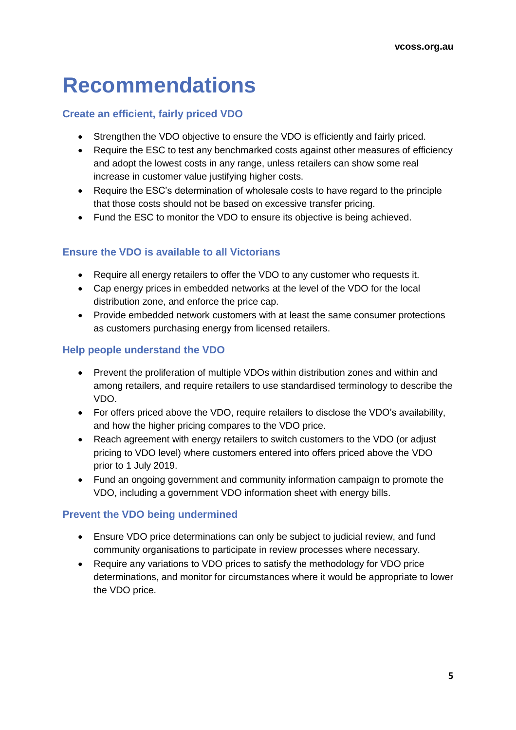## <span id="page-4-0"></span>**Recommendations**

#### **Create an efficient, fairly priced VDO**

- Strengthen the VDO objective to ensure the VDO is efficiently and fairly priced.
- Require the ESC to test any benchmarked costs against other measures of efficiency and adopt the lowest costs in any range, unless retailers can show some real increase in customer value justifying higher costs.
- Require the ESC's determination of wholesale costs to have regard to the principle that those costs should not be based on excessive transfer pricing.
- Fund the ESC to monitor the VDO to ensure its objective is being achieved.

#### **Ensure the VDO is available to all Victorians**

- Require all energy retailers to offer the VDO to any customer who requests it.
- Cap energy prices in embedded networks at the level of the VDO for the local distribution zone, and enforce the price cap.
- Provide embedded network customers with at least the same consumer protections as customers purchasing energy from licensed retailers.

#### **Help people understand the VDO**

- Prevent the proliferation of multiple VDOs within distribution zones and within and among retailers, and require retailers to use standardised terminology to describe the VDO.
- For offers priced above the VDO, require retailers to disclose the VDO's availability, and how the higher pricing compares to the VDO price.
- Reach agreement with energy retailers to switch customers to the VDO (or adjust pricing to VDO level) where customers entered into offers priced above the VDO prior to 1 July 2019.
- Fund an ongoing government and community information campaign to promote the VDO, including a government VDO information sheet with energy bills.

#### **Prevent the VDO being undermined**

- Ensure VDO price determinations can only be subject to judicial review, and fund community organisations to participate in review processes where necessary.
- Require any variations to VDO prices to satisfy the methodology for VDO price determinations, and monitor for circumstances where it would be appropriate to lower the VDO price.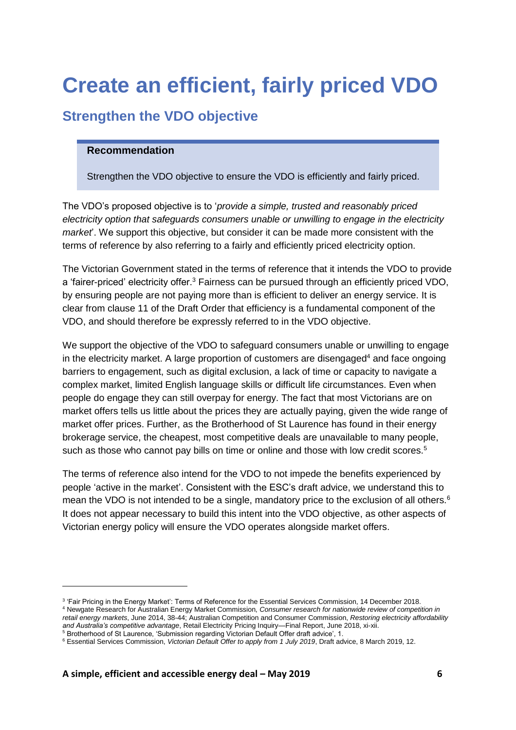## <span id="page-5-0"></span>**Create an efficient, fairly priced VDO**

## <span id="page-5-1"></span>**Strengthen the VDO objective**

#### **Recommendation**

Strengthen the VDO objective to ensure the VDO is efficiently and fairly priced.

The VDO's proposed objective is to '*provide a simple, trusted and reasonably priced electricity option that safeguards consumers unable or unwilling to engage in the electricity market*'. We support this objective, but consider it can be made more consistent with the terms of reference by also referring to a fairly and efficiently priced electricity option.

The Victorian Government stated in the terms of reference that it intends the VDO to provide a 'fairer-priced' electricity offer.<sup>3</sup> Fairness can be pursued through an efficiently priced VDO, by ensuring people are not paying more than is efficient to deliver an energy service. It is clear from clause 11 of the Draft Order that efficiency is a fundamental component of the VDO, and should therefore be expressly referred to in the VDO objective.

We support the objective of the VDO to safeguard consumers unable or unwilling to engage in the electricity market. A large proportion of customers are disengaged $4$  and face ongoing barriers to engagement, such as digital exclusion, a lack of time or capacity to navigate a complex market, limited English language skills or difficult life circumstances. Even when people do engage they can still overpay for energy. The fact that most Victorians are on market offers tells us little about the prices they are actually paying, given the wide range of market offer prices. Further, as the Brotherhood of St Laurence has found in their energy brokerage service, the cheapest, most competitive deals are unavailable to many people, such as those who cannot pay bills on time or online and those with low credit scores.<sup>5</sup>

The terms of reference also intend for the VDO to not impede the benefits experienced by people 'active in the market'. Consistent with the ESC's draft advice, we understand this to mean the VDO is not intended to be a single, mandatory price to the exclusion of all others.<sup>6</sup> It does not appear necessary to build this intent into the VDO objective, as other aspects of Victorian energy policy will ensure the VDO operates alongside market offers.

<sup>3</sup> 'Fair Pricing in the Energy Market': Terms of Reference for the Essential Services Commission, 14 December 2018.

<sup>4</sup> Newgate Research for Australian Energy Market Commission, *Consumer research for nationwide review of competition in retail energy markets*, June 2014, 38-44; Australian Competition and Consumer Commission, *Restoring electricity affordability and Australia's competitive advantage*, Retail Electricity Pricing Inquiry—Final Report, June 2018, xi-xii.

<sup>5</sup> Brotherhood of St Laurence, 'Submission regarding Victorian Default Offer draft advice', 1.

<sup>6</sup> Essential Services Commission, *Victorian Default Offer to apply from 1 July 2019*, Draft advice, 8 March 2019, 12.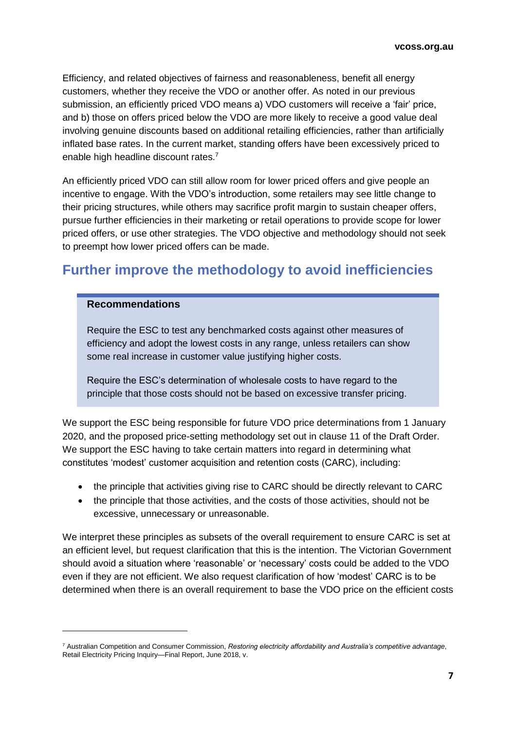Efficiency, and related objectives of fairness and reasonableness, benefit all energy customers, whether they receive the VDO or another offer. As noted in our previous submission, an efficiently priced VDO means a) VDO customers will receive a 'fair' price, and b) those on offers priced below the VDO are more likely to receive a good value deal involving genuine discounts based on additional retailing efficiencies, rather than artificially inflated base rates. In the current market, standing offers have been excessively priced to enable high headline discount rates.<sup>7</sup>

An efficiently priced VDO can still allow room for lower priced offers and give people an incentive to engage. With the VDO's introduction, some retailers may see little change to their pricing structures, while others may sacrifice profit margin to sustain cheaper offers, pursue further efficiencies in their marketing or retail operations to provide scope for lower priced offers, or use other strategies. The VDO objective and methodology should not seek to preempt how lower priced offers can be made.

### <span id="page-6-0"></span>**Further improve the methodology to avoid inefficiencies**

#### **Recommendations**

Require the ESC to test any benchmarked costs against other measures of efficiency and adopt the lowest costs in any range, unless retailers can show some real increase in customer value justifying higher costs.

Require the ESC's determination of wholesale costs to have regard to the principle that those costs should not be based on excessive transfer pricing.

We support the ESC being responsible for future VDO price determinations from 1 January 2020, and the proposed price-setting methodology set out in clause 11 of the Draft Order. We support the ESC having to take certain matters into regard in determining what constitutes 'modest' customer acquisition and retention costs (CARC), including:

- the principle that activities giving rise to CARC should be directly relevant to CARC
- the principle that those activities, and the costs of those activities, should not be excessive, unnecessary or unreasonable.

We interpret these principles as subsets of the overall requirement to ensure CARC is set at an efficient level, but request clarification that this is the intention. The Victorian Government should avoid a situation where 'reasonable' or 'necessary' costs could be added to the VDO even if they are not efficient. We also request clarification of how 'modest' CARC is to be determined when there is an overall requirement to base the VDO price on the efficient costs

<sup>7</sup> Australian Competition and Consumer Commission, *Restoring electricity affordability and Australia's competitive advantage*, Retail Electricity Pricing Inquiry—Final Report, June 2018, v.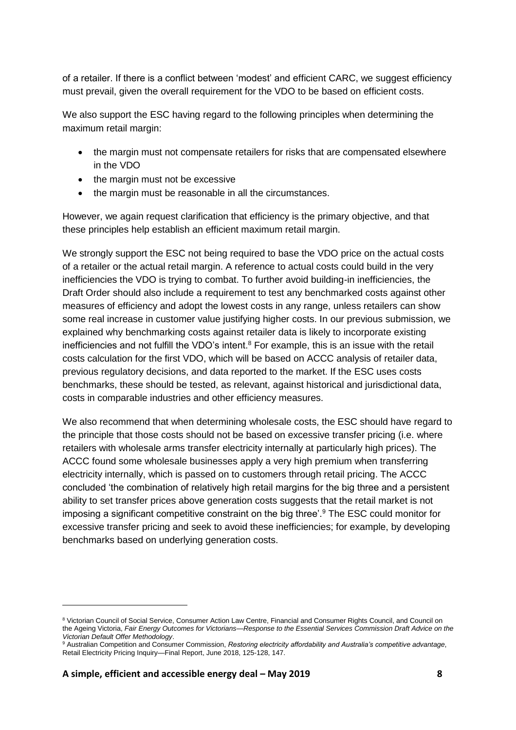of a retailer. If there is a conflict between 'modest' and efficient CARC, we suggest efficiency must prevail, given the overall requirement for the VDO to be based on efficient costs.

We also support the ESC having regard to the following principles when determining the maximum retail margin:

- the margin must not compensate retailers for risks that are compensated elsewhere in the VDO
- the margin must not be excessive
- the margin must be reasonable in all the circumstances.

However, we again request clarification that efficiency is the primary objective, and that these principles help establish an efficient maximum retail margin.

We strongly support the ESC not being required to base the VDO price on the actual costs of a retailer or the actual retail margin. A reference to actual costs could build in the very inefficiencies the VDO is trying to combat. To further avoid building-in inefficiencies, the Draft Order should also include a requirement to test any benchmarked costs against other measures of efficiency and adopt the lowest costs in any range, unless retailers can show some real increase in customer value justifying higher costs. In our previous submission, we explained why benchmarking costs against retailer data is likely to incorporate existing inefficiencies and not fulfill the VDO's intent. $8$  For example, this is an issue with the retail costs calculation for the first VDO, which will be based on ACCC analysis of retailer data, previous regulatory decisions, and data reported to the market. If the ESC uses costs benchmarks, these should be tested, as relevant, against historical and jurisdictional data, costs in comparable industries and other efficiency measures.

We also recommend that when determining wholesale costs, the ESC should have regard to the principle that those costs should not be based on excessive transfer pricing (i.e. where retailers with wholesale arms transfer electricity internally at particularly high prices). The ACCC found some wholesale businesses apply a very high premium when transferring electricity internally, which is passed on to customers through retail pricing. The ACCC concluded 'the combination of relatively high retail margins for the big three and a persistent ability to set transfer prices above generation costs suggests that the retail market is not imposing a significant competitive constraint on the big three'.<sup>9</sup> The ESC could monitor for excessive transfer pricing and seek to avoid these inefficiencies; for example, by developing benchmarks based on underlying generation costs.

<sup>8</sup> Victorian Council of Social Service, Consumer Action Law Centre, Financial and Consumer Rights Council, and Council on the Ageing Victoria, *Fair Energy Outcomes for Victorians—Response to the Essential Services Commission Draft Advice on the Victorian Default Offer Methodology*.

<sup>9</sup> Australian Competition and Consumer Commission, *Restoring electricity affordability and Australia's competitive advantage*, Retail Electricity Pricing Inquiry—Final Report, June 2018, 125-128, 147.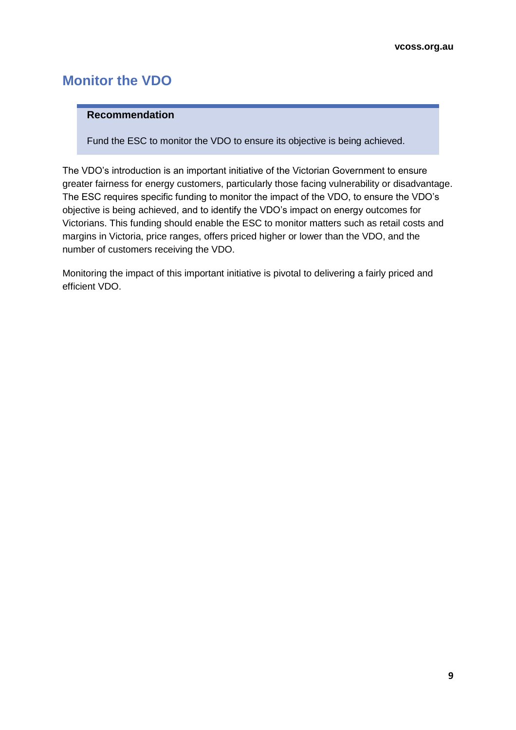## <span id="page-8-0"></span>**Monitor the VDO**

#### **Recommendation**

Fund the ESC to monitor the VDO to ensure its objective is being achieved.

The VDO's introduction is an important initiative of the Victorian Government to ensure greater fairness for energy customers, particularly those facing vulnerability or disadvantage. The ESC requires specific funding to monitor the impact of the VDO, to ensure the VDO's objective is being achieved, and to identify the VDO's impact on energy outcomes for Victorians. This funding should enable the ESC to monitor matters such as retail costs and margins in Victoria, price ranges, offers priced higher or lower than the VDO, and the number of customers receiving the VDO.

Monitoring the impact of this important initiative is pivotal to delivering a fairly priced and efficient VDO.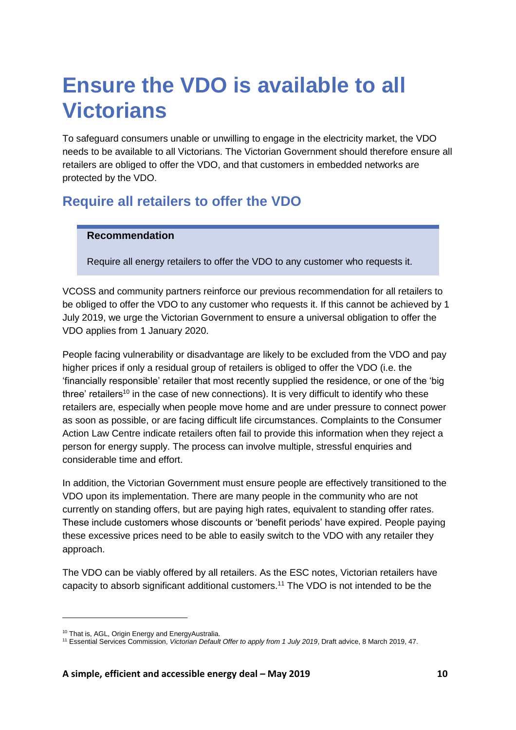## <span id="page-9-0"></span>**Ensure the VDO is available to all Victorians**

To safeguard consumers unable or unwilling to engage in the electricity market, the VDO needs to be available to all Victorians. The Victorian Government should therefore ensure all retailers are obliged to offer the VDO, and that customers in embedded networks are protected by the VDO.

### <span id="page-9-1"></span>**Require all retailers to offer the VDO**

#### **Recommendation**

Require all energy retailers to offer the VDO to any customer who requests it.

VCOSS and community partners reinforce our previous recommendation for all retailers to be obliged to offer the VDO to any customer who requests it. If this cannot be achieved by 1 July 2019, we urge the Victorian Government to ensure a universal obligation to offer the VDO applies from 1 January 2020.

People facing vulnerability or disadvantage are likely to be excluded from the VDO and pay higher prices if only a residual group of retailers is obliged to offer the VDO (i.e. the 'financially responsible' retailer that most recently supplied the residence, or one of the 'big three' retailers<sup>10</sup> in the case of new connections). It is very difficult to identify who these retailers are, especially when people move home and are under pressure to connect power as soon as possible, or are facing difficult life circumstances. Complaints to the Consumer Action Law Centre indicate retailers often fail to provide this information when they reject a person for energy supply. The process can involve multiple, stressful enquiries and considerable time and effort.

In addition, the Victorian Government must ensure people are effectively transitioned to the VDO upon its implementation. There are many people in the community who are not currently on standing offers, but are paying high rates, equivalent to standing offer rates. These include customers whose discounts or 'benefit periods' have expired. People paying these excessive prices need to be able to easily switch to the VDO with any retailer they approach.

The VDO can be viably offered by all retailers. As the ESC notes, Victorian retailers have capacity to absorb significant additional customers.<sup>11</sup> The VDO is not intended to be the

<sup>&</sup>lt;sup>10</sup> That is, AGL, Origin Energy and EnergyAustralia.

<sup>11</sup> Essential Services Commission, *Victorian Default Offer to apply from 1 July 2019*, Draft advice, 8 March 2019, 47.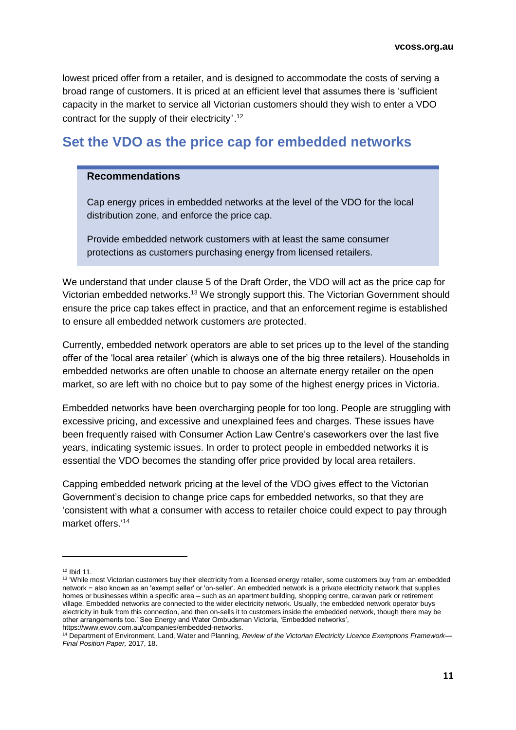lowest priced offer from a retailer, and is designed to accommodate the costs of serving a broad range of customers. It is priced at an efficient level that assumes there is 'sufficient capacity in the market to service all Victorian customers should they wish to enter a VDO contract for the supply of their electricity'.<sup>12</sup>

### <span id="page-10-0"></span>**Set the VDO as the price cap for embedded networks**

#### **Recommendations**

Cap energy prices in embedded networks at the level of the VDO for the local distribution zone, and enforce the price cap.

Provide embedded network customers with at least the same consumer protections as customers purchasing energy from licensed retailers.

We understand that under clause 5 of the Draft Order, the VDO will act as the price cap for Victorian embedded networks.<sup>13</sup> We strongly support this. The Victorian Government should ensure the price cap takes effect in practice, and that an enforcement regime is established to ensure all embedded network customers are protected.

Currently, embedded network operators are able to set prices up to the level of the standing offer of the 'local area retailer' (which is always one of the big three retailers). Households in embedded networks are often unable to choose an alternate energy retailer on the open market, so are left with no choice but to pay some of the highest energy prices in Victoria.

Embedded networks have been overcharging people for too long. People are struggling with excessive pricing, and excessive and unexplained fees and charges. These issues have been frequently raised with Consumer Action Law Centre's caseworkers over the last five years, indicating systemic issues. In order to protect people in embedded networks it is essential the VDO becomes the standing offer price provided by local area retailers.

Capping embedded network pricing at the level of the VDO gives effect to the Victorian Government's decision to change price caps for embedded networks, so that they are 'consistent with what a consumer with access to retailer choice could expect to pay through market offers.'<sup>14</sup>

 $12$  Ibid 11.

<sup>&</sup>lt;sup>13</sup> 'While most Victorian customers buy their electricity from a licensed energy retailer, some customers buy from an embedded network − also known as an 'exempt seller' or 'on-seller'. An embedded network is a private electricity network that supplies homes or businesses within a specific area – such as an apartment building, shopping centre, caravan park or retirement village. Embedded networks are connected to the wider electricity network. Usually, the embedded network operator buys electricity in bulk from this connection, and then on-sells it to customers inside the embedded network, though there may be other arrangements too.' See Energy and Water Ombudsman Victoria, 'Embedded networks', [https://www.ewov.com.au/companies/embedded-networks.](https://www.ewov.com.au/companies/embedded-networks)

<sup>14</sup> Department of Environment, Land, Water and Planning, *Review of the Victorian Electricity Licence Exemptions Framework— Final Position Paper,* 2017, 18.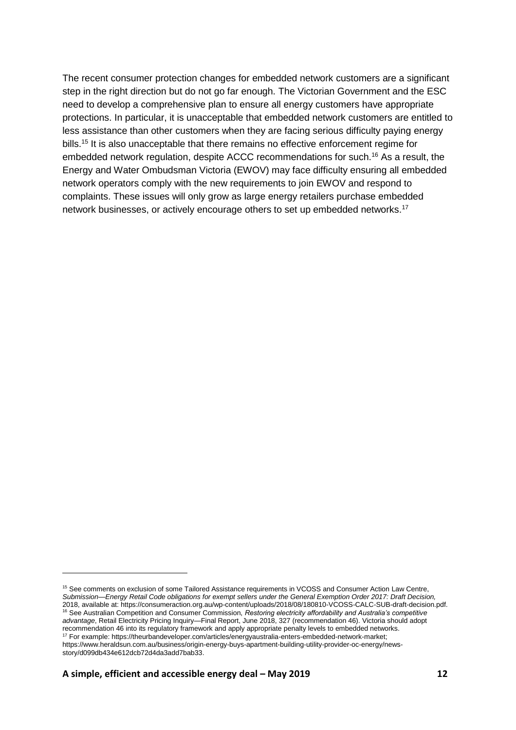The recent consumer protection changes for embedded network customers are a significant step in the right direction but do not go far enough. The Victorian Government and the ESC need to develop a comprehensive plan to ensure all energy customers have appropriate protections. In particular, it is unacceptable that embedded network customers are entitled to less assistance than other customers when they are facing serious difficulty paying energy bills.<sup>15</sup> It is also unacceptable that there remains no effective enforcement regime for embedded network regulation, despite ACCC recommendations for such.<sup>16</sup> As a result, the Energy and Water Ombudsman Victoria (EWOV) may face difficulty ensuring all embedded network operators comply with the new requirements to join EWOV and respond to complaints. These issues will only grow as large energy retailers purchase embedded network businesses, or actively encourage others to set up embedded networks.<sup>17</sup>

<sup>15</sup> See comments on exclusion of some Tailored Assistance requirements in VCOSS and Consumer Action Law Centre, *Submission—Energy Retail Code obligations for exempt sellers under the General Exemption Order 2017: Draft Decision,*  2018, available at[: https://consumeraction.org.au/wp-content/uploads/2018/08/180810-VCOSS-CALC-SUB-draft-decision.pdf.](https://consumeraction.org.au/wp-content/uploads/2018/08/180810-VCOSS-CALC-SUB-draft-decision.pdf) <sup>16</sup> See Australian Competition and Consumer Commission, *Restoring electricity affordability and Australia's competitive advantage*, Retail Electricity Pricing Inquiry—Final Report, June 2018, 327 (recommendation 46). Victoria should adopt recommendation 46 into its regulatory framework and apply appropriate penalty levels to embedded networks. <sup>17</sup> For example: https://theurbandeveloper.com/articles/energyaustralia-enters-embedded-network-market;

[https://www.heraldsun.com.au/business/origin-energy-buys-apartment-building-utility-provider-oc-energy/news](https://www.heraldsun.com.au/business/origin-energy-buys-apartment-building-utility-provider-oc-energy/news-story/d099db434e612dcb72d4da3add7bab33)[story/d099db434e612dcb72d4da3add7bab33.](https://www.heraldsun.com.au/business/origin-energy-buys-apartment-building-utility-provider-oc-energy/news-story/d099db434e612dcb72d4da3add7bab33)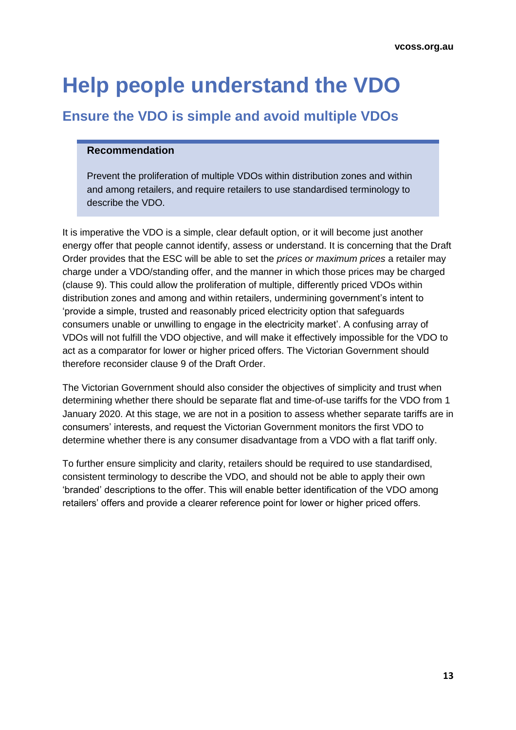## <span id="page-12-0"></span>**Help people understand the VDO**

## <span id="page-12-1"></span>**Ensure the VDO is simple and avoid multiple VDOs**

#### **Recommendation**

Prevent the proliferation of multiple VDOs within distribution zones and within and among retailers, and require retailers to use standardised terminology to describe the VDO.

It is imperative the VDO is a simple, clear default option, or it will become just another energy offer that people cannot identify, assess or understand. It is concerning that the Draft Order provides that the ESC will be able to set the *prices or maximum prices* a retailer may charge under a VDO/standing offer, and the manner in which those prices may be charged (clause 9). This could allow the proliferation of multiple, differently priced VDOs within distribution zones and among and within retailers, undermining government's intent to 'provide a simple, trusted and reasonably priced electricity option that safeguards consumers unable or unwilling to engage in the electricity market'. A confusing array of VDOs will not fulfill the VDO objective, and will make it effectively impossible for the VDO to act as a comparator for lower or higher priced offers. The Victorian Government should therefore reconsider clause 9 of the Draft Order.

The Victorian Government should also consider the objectives of simplicity and trust when determining whether there should be separate flat and time-of-use tariffs for the VDO from 1 January 2020. At this stage, we are not in a position to assess whether separate tariffs are in consumers' interests, and request the Victorian Government monitors the first VDO to determine whether there is any consumer disadvantage from a VDO with a flat tariff only.

To further ensure simplicity and clarity, retailers should be required to use standardised, consistent terminology to describe the VDO, and should not be able to apply their own 'branded' descriptions to the offer. This will enable better identification of the VDO among retailers' offers and provide a clearer reference point for lower or higher priced offers.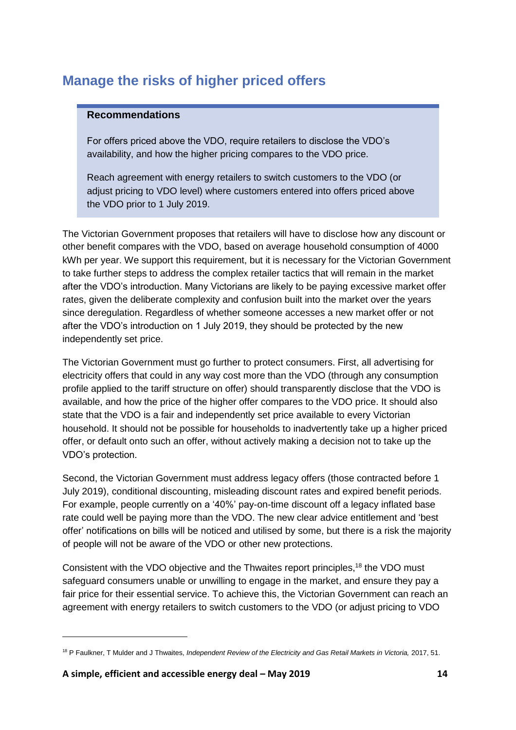## <span id="page-13-0"></span>**Manage the risks of higher priced offers**

#### **Recommendations**

For offers priced above the VDO, require retailers to disclose the VDO's availability, and how the higher pricing compares to the VDO price.

Reach agreement with energy retailers to switch customers to the VDO (or adjust pricing to VDO level) where customers entered into offers priced above the VDO prior to 1 July 2019.

The Victorian Government proposes that retailers will have to disclose how any discount or other benefit compares with the VDO, based on average household consumption of 4000 kWh per year. We support this requirement, but it is necessary for the Victorian Government to take further steps to address the complex retailer tactics that will remain in the market after the VDO's introduction. Many Victorians are likely to be paying excessive market offer rates, given the deliberate complexity and confusion built into the market over the years since deregulation. Regardless of whether someone accesses a new market offer or not after the VDO's introduction on 1 July 2019, they should be protected by the new independently set price.

The Victorian Government must go further to protect consumers. First, all advertising for electricity offers that could in any way cost more than the VDO (through any consumption profile applied to the tariff structure on offer) should transparently disclose that the VDO is available, and how the price of the higher offer compares to the VDO price. It should also state that the VDO is a fair and independently set price available to every Victorian household. It should not be possible for households to inadvertently take up a higher priced offer, or default onto such an offer, without actively making a decision not to take up the VDO's protection.

Second, the Victorian Government must address legacy offers (those contracted before 1 July 2019), conditional discounting, misleading discount rates and expired benefit periods. For example, people currently on a '40%' pay-on-time discount off a legacy inflated base rate could well be paying more than the VDO. The new clear advice entitlement and 'best offer' notifications on bills will be noticed and utilised by some, but there is a risk the majority of people will not be aware of the VDO or other new protections.

Consistent with the VDO objective and the Thwaites report principles,<sup>18</sup> the VDO must safeguard consumers unable or unwilling to engage in the market, and ensure they pay a fair price for their essential service. To achieve this, the Victorian Government can reach an agreement with energy retailers to switch customers to the VDO (or adjust pricing to VDO

<sup>&</sup>lt;sup>18</sup> P Faulkner, T Mulder and J Thwaites, *Independent Review of the Electricity and Gas Retail Markets in Victoria, 2017, 51.*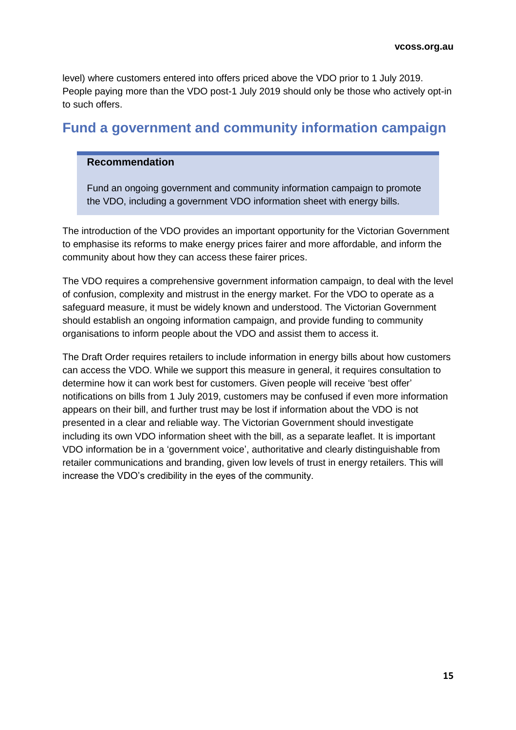level) where customers entered into offers priced above the VDO prior to 1 July 2019. People paying more than the VDO post-1 July 2019 should only be those who actively opt-in to such offers.

### <span id="page-14-0"></span>**Fund a government and community information campaign**

#### **Recommendation**

Fund an ongoing government and community information campaign to promote the VDO, including a government VDO information sheet with energy bills.

The introduction of the VDO provides an important opportunity for the Victorian Government to emphasise its reforms to make energy prices fairer and more affordable, and inform the community about how they can access these fairer prices.

The VDO requires a comprehensive government information campaign, to deal with the level of confusion, complexity and mistrust in the energy market. For the VDO to operate as a safeguard measure, it must be widely known and understood. The Victorian Government should establish an ongoing information campaign, and provide funding to community organisations to inform people about the VDO and assist them to access it.

The Draft Order requires retailers to include information in energy bills about how customers can access the VDO. While we support this measure in general, it requires consultation to determine how it can work best for customers. Given people will receive 'best offer' notifications on bills from 1 July 2019, customers may be confused if even more information appears on their bill, and further trust may be lost if information about the VDO is not presented in a clear and reliable way. The Victorian Government should investigate including its own VDO information sheet with the bill, as a separate leaflet. It is important VDO information be in a 'government voice', authoritative and clearly distinguishable from retailer communications and branding, given low levels of trust in energy retailers. This will increase the VDO's credibility in the eyes of the community.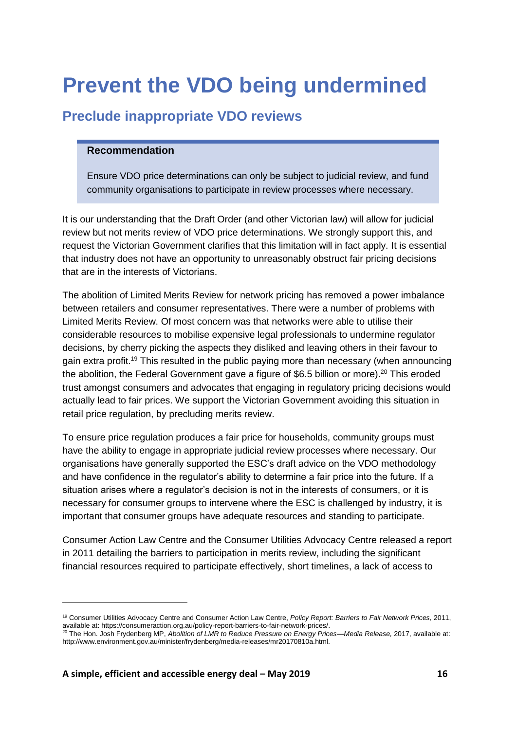## <span id="page-15-0"></span>**Prevent the VDO being undermined**

## <span id="page-15-1"></span>**Preclude inappropriate VDO reviews**

#### **Recommendation**

Ensure VDO price determinations can only be subject to judicial review, and fund community organisations to participate in review processes where necessary.

It is our understanding that the Draft Order (and other Victorian law) will allow for judicial review but not merits review of VDO price determinations. We strongly support this, and request the Victorian Government clarifies that this limitation will in fact apply. It is essential that industry does not have an opportunity to unreasonably obstruct fair pricing decisions that are in the interests of Victorians.

The abolition of Limited Merits Review for network pricing has removed a power imbalance between retailers and consumer representatives. There were a number of problems with Limited Merits Review. Of most concern was that networks were able to utilise their considerable resources to mobilise expensive legal professionals to undermine regulator decisions, by cherry picking the aspects they disliked and leaving others in their favour to gain extra profit.<sup>19</sup> This resulted in the public paying more than necessary (when announcing the abolition, the Federal Government gave a figure of \$6.5 billion or more).<sup>20</sup> This eroded trust amongst consumers and advocates that engaging in regulatory pricing decisions would actually lead to fair prices. We support the Victorian Government avoiding this situation in retail price regulation, by precluding merits review.

To ensure price regulation produces a fair price for households, community groups must have the ability to engage in appropriate judicial review processes where necessary. Our organisations have generally supported the ESC's draft advice on the VDO methodology and have confidence in the regulator's ability to determine a fair price into the future. If a situation arises where a regulator's decision is not in the interests of consumers, or it is necessary for consumer groups to intervene where the ESC is challenged by industry, it is important that consumer groups have adequate resources and standing to participate.

Consumer Action Law Centre and the Consumer Utilities Advocacy Centre released a report in 2011 detailing the barriers to participation in merits review, including the significant financial resources required to participate effectively, short timelines, a lack of access to

<sup>19</sup> Consumer Utilities Advocacy Centre and Consumer Action Law Centre, *Policy Report: Barriers to Fair Network Prices,* 2011, available at: [https://consumeraction.org.au/policy-report-barriers-to-fair-network-prices/.](https://consumeraction.org.au/policy-report-barriers-to-fair-network-prices/)

<sup>&</sup>lt;sup>20</sup> The Hon. Josh Frydenberg MP, Abolition of LMR to Reduce Pressure on Energy Prices—Media Release, 2017, available at: [http://www.environment.gov.au/minister/frydenberg/media-releases/mr20170810a.html.](http://www.environment.gov.au/minister/frydenberg/media-releases/mr20170810a.html)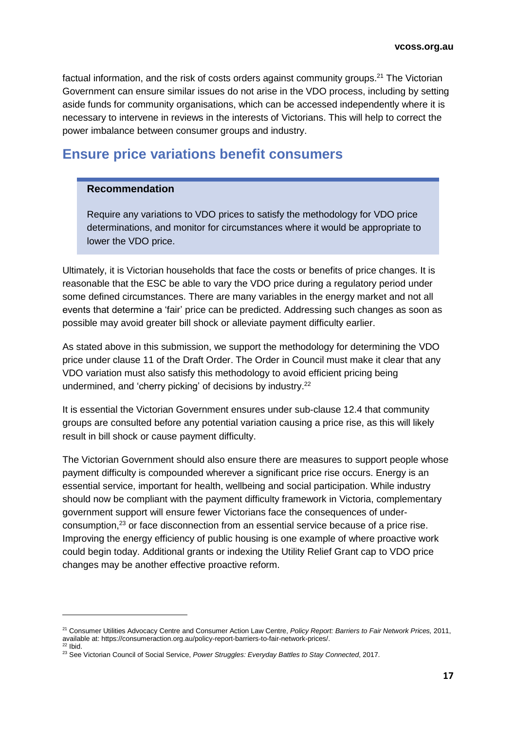factual information, and the risk of costs orders against community groups.<sup>21</sup> The Victorian Government can ensure similar issues do not arise in the VDO process, including by setting aside funds for community organisations, which can be accessed independently where it is necessary to intervene in reviews in the interests of Victorians. This will help to correct the power imbalance between consumer groups and industry.

### <span id="page-16-0"></span>**Ensure price variations benefit consumers**

#### **Recommendation**

Require any variations to VDO prices to satisfy the methodology for VDO price determinations, and monitor for circumstances where it would be appropriate to lower the VDO price.

Ultimately, it is Victorian households that face the costs or benefits of price changes. It is reasonable that the ESC be able to vary the VDO price during a regulatory period under some defined circumstances. There are many variables in the energy market and not all events that determine a 'fair' price can be predicted. Addressing such changes as soon as possible may avoid greater bill shock or alleviate payment difficulty earlier.

As stated above in this submission, we support the methodology for determining the VDO price under clause 11 of the Draft Order. The Order in Council must make it clear that any VDO variation must also satisfy this methodology to avoid efficient pricing being undermined, and 'cherry picking' of decisions by industry.<sup>22</sup>

It is essential the Victorian Government ensures under sub-clause 12.4 that community groups are consulted before any potential variation causing a price rise, as this will likely result in bill shock or cause payment difficulty.

The Victorian Government should also ensure there are measures to support people whose payment difficulty is compounded wherever a significant price rise occurs. Energy is an essential service, important for health, wellbeing and social participation. While industry should now be compliant with the payment difficulty framework in Victoria, complementary government support will ensure fewer Victorians face the consequences of underconsumption, <sup>23</sup> or face disconnection from an essential service because of a price rise. Improving the energy efficiency of public housing is one example of where proactive work could begin today. Additional grants or indexing the Utility Relief Grant cap to VDO price changes may be another effective proactive reform.

<sup>21</sup> Consumer Utilities Advocacy Centre and Consumer Action Law Centre, *Policy Report: Barriers to Fair Network Prices,* 2011, available at: [https://consumeraction.org.au/policy-report-barriers-to-fair-network-prices/.](https://consumeraction.org.au/policy-report-barriers-to-fair-network-prices/)

 $22$  Ibid.

<sup>23</sup> See Victorian Council of Social Service, *Power Struggles: Everyday Battles to Stay Connected*, 2017.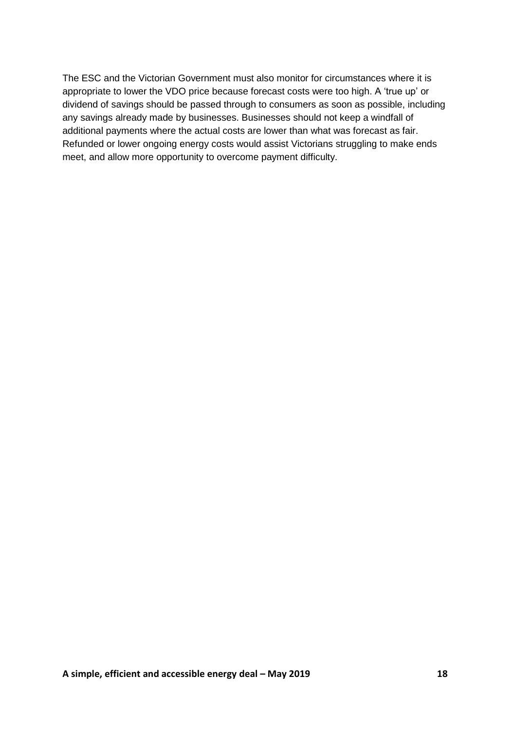The ESC and the Victorian Government must also monitor for circumstances where it is appropriate to lower the VDO price because forecast costs were too high. A 'true up' or dividend of savings should be passed through to consumers as soon as possible, including any savings already made by businesses. Businesses should not keep a windfall of additional payments where the actual costs are lower than what was forecast as fair. Refunded or lower ongoing energy costs would assist Victorians struggling to make ends meet, and allow more opportunity to overcome payment difficulty.